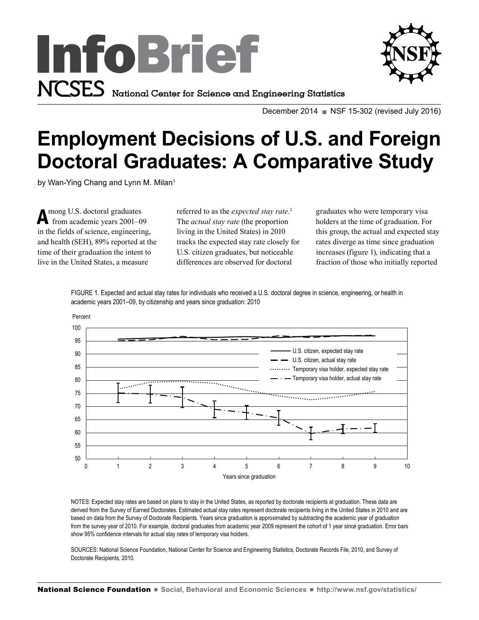



December 2014  $\blacksquare$  NSF 15-302 (revised July 2016)

# **Employment Decisions of U.S. and Foreign Doctoral Graduates: A Comparative Study**

by Wan-Ying Chang and Lynn M. Milan<sup>1</sup>

Among U.S. doctoral graduates<br>from academic years 2001–09 in the fields of science, engineering, and health (SEH), 89% reported at the time of their graduation the intent to live in the United States, a measure

referred to as the *expected stay rate.*<sup>2</sup> The *actual stay rate* (the proportion living in the United States) in 2010 tracks the expected stay rate closely for U.S. citizen graduates, but noticeable differences are observed for doctoral

graduates who were temporary visa holders at the time of graduation. For this group, the actual and expected stay rates diverge as time since graduation increases (figure 1), indicating that a fraction of those who initially reported

FIGURE 1. Expected and actual stay rates for individuals who received a U.S. doctoral degree in science, engineering, or health in academic years 2001–09, by citizenship and years since graduation: 2010



NOTES: Expected stay rates are based on plans to stay in the United States, as reported by doctorate recipients at graduation. These data are derived from the Survey of Earned Doctorates. Estimated actual stay rates represent doctorate recipients living in the United States in 2010 and are based on data from the Survey of Doctorate Recipients. Years since graduation is approximated by subtracting the academic year of graduation from the survey year of 2010. For example, doctoral graduates from academic year 2009 represent the cohort of 1 year since graduation. Error bars show 95% confidence intervals for actual stay rates of temporary visa holders.

SOURCES: National Science Foundation, National Center for Science and Engineering Statistics, Doctorate Records File, 2010, and Survey of Doctorate Recipients, 2010.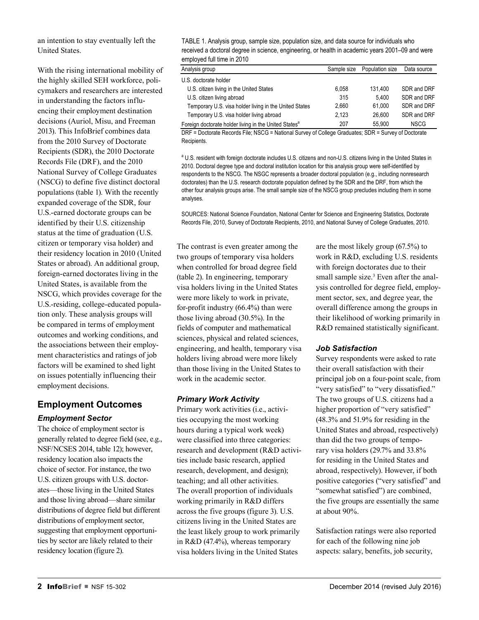an intention to stay eventually left the United States.

With the rising international mobility of the highly skilled SEH workforce, policymakers and researchers are interested in understanding the factors influencing their employment destination decisions (Auriol, Misu, and Freeman 2013). This InfoBrief combines data from the 2010 Survey of Doctorate Recipients (SDR), the 2010 Doctorate Records File (DRF), and the 2010 National Survey of College Graduates (NSCG) to define five distinct doctoral populations (table 1). With the recently expanded coverage of the SDR, four U.S.-earned doctorate groups can be identified by their U.S. citizenship status at the time of graduation (U.S. citizen or temporary visa holder) and their residency location in 2010 (United States or abroad). An additional group, foreign-earned doctorates living in the United States, is available from the NSCG, which provides coverage for the U.S.-residing, college-educated population only. These analysis groups will be compared in terms of employment outcomes and working conditions, and the associations between their employment characteristics and ratings of job factors will be examined to shed light on issues potentially influencing their employment decisions.

# **Employment Outcomes** *Employment Sector*

The choice of employment sector is generally related to degree field (see, e.g., NSF/NCSES 2014, table 12); however, residency location also impacts the choice of sector. For instance, the two U.S. citizen groups with U.S. doctorates—those living in the United States and those living abroad—share similar distributions of degree field but different distributions of employment sector, suggesting that employment opportunities by sector are likely related to their residency location (figure 2).

TABLE 1. Analysis group, sample size, population size, and data source for individuals who received a doctoral degree in science, engineering, or health in academic years 2001–09 and were employed full time in 2010

| Analysis group                                                    | Sample size | Population size | Data source |
|-------------------------------------------------------------------|-------------|-----------------|-------------|
| U.S. doctorate holder                                             |             |                 |             |
| U.S. citizen living in the United States                          | 6.058       | 131.400         | SDR and DRF |
| U.S. citizen living abroad                                        | 315         | 5.400           | SDR and DRF |
| Temporary U.S. visa holder living in the United States            | 2.660       | 61.000          | SDR and DRF |
| Temporary U.S. visa holder living abroad                          | 2.123       | 26.600          | SDR and DRF |
| Foreign doctorate holder living in the United States <sup>a</sup> | 207         | 55.900          | <b>NSCG</b> |

DRF = Doctorate Records File; NSCG = National Survey of College Graduates; SDR = Survey of Doctorate Recipients.

<sup>a</sup> U.S. resident with foreign doctorate includes U.S. citizens and non-U.S. citizens living in the United States in 2010. Doctoral degree type and doctoral institution location for this analysis group were self-identified by respondents to the NSCG. The NSGC represents a broader doctoral population (e.g., including nonresearch doctorates) than the U.S. research doctorate population defined by the SDR and the DRF, from which the other four analysis groups arise. The small sample size of the NSCG group precludes including them in some analyses.

SOURCES: National Science Foundation, National Center for Science and Engineering Statistics, Doctorate Records File, 2010, Survey of Doctorate Recipients, 2010, and National Survey of College Graduates, 2010.

The contrast is even greater among the two groups of temporary visa holders when controlled for broad degree field (table 2). In engineering, temporary visa holders living in the United States were more likely to work in private, for-profit industry (66.4%) than were those living abroad (30.5%). In the fields of computer and mathematical sciences, physical and related sciences, engineering, and health, temporary visa holders living abroad were more likely than those living in the United States to work in the academic sector.

## *Primary Work Activity*

Primary work activities (i.e., activities occupying the most working hours during a typical work week) were classified into three categories: research and development (R&D activities include basic research, applied research, development, and design); teaching; and all other activities. The overall proportion of individuals working primarily in R&D differs across the five groups (figure 3). U.S. citizens living in the United States are the least likely group to work primarily in R&D (47.4%), whereas temporary visa holders living in the United States

are the most likely group (67.5%) to work in R&D, excluding U.S. residents with foreign doctorates due to their small sample size.<sup>3</sup> Even after the analysis controlled for degree field, employment sector, sex, and degree year, the overall difference among the groups in their likelihood of working primarily in R&D remained statistically significant.

### *Job Satisfaction*

Survey respondents were asked to rate their overall satisfaction with their principal job on a four-point scale, from "very satisfied" to "very dissatisfied." The two groups of U.S. citizens had a higher proportion of "very satisfied" (48.3% and 51.9% for residing in the United States and abroad, respectively) than did the two groups of temporary visa holders (29.7% and 33.8% for residing in the United States and abroad, respectively). However, if both positive categories ("very satisfied" and "somewhat satisfied") are combined, the five groups are essentially the same at about 90%.

Satisfaction ratings were also reported for each of the following nine job aspects: salary, benefits, job security,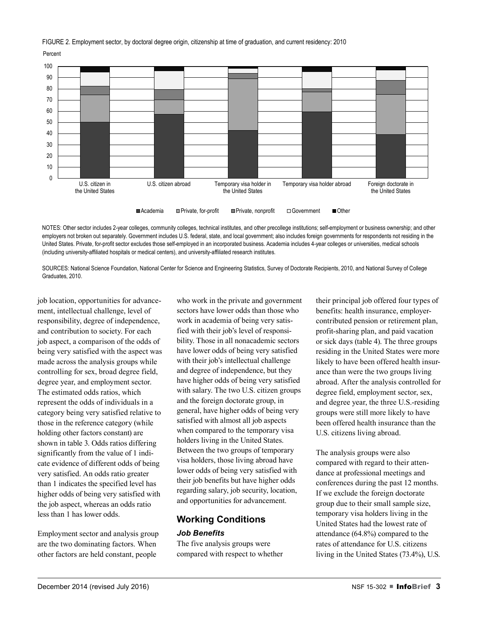FIGURE 2. Employment sector, by doctoral degree origin, citizenship at time of graduation, and current residency: 2010

Percent



NOTES: Other sector includes 2-year colleges, community colleges, technical institutes, and other precollege institutions; self-employment or business ownership; and other employers not broken out separately. Government includes U.S. federal, state, and local government; also includes foreign governments for respondents not residing in the United States. Private, for-profit sector excludes those self-employed in an incorporated business. Academia includes 4-year colleges or universities, medical schools (including university-affiliated hospitals or medical centers), and university-affiliated research institutes.

SOURCES: National Science Foundation, National Center for Science and Engineering Statistics, Survey of Doctorate Recipients, 2010, and National Survey of College Graduates, 2010.

job location, opportunities for advancement, intellectual challenge, level of responsibility, degree of independence, and contribution to society. For each job aspect, a comparison of the odds of being very satisfied with the aspect was made across the analysis groups while controlling for sex, broad degree field, degree year, and employment sector. The estimated odds ratios, which represent the odds of individuals in a category being very satisfied relative to those in the reference category (while holding other factors constant) are shown in table 3. Odds ratios differing significantly from the value of 1 indicate evidence of different odds of being very satisfied. An odds ratio greater than 1 indicates the specified level has higher odds of being very satisfied with the job aspect, whereas an odds ratio less than 1 has lower odds.

Employment sector and analysis group are the two dominating factors. When other factors are held constant, people

who work in the private and government sectors have lower odds than those who work in academia of being very satisfied with their job's level of responsibility. Those in all nonacademic sectors have lower odds of being very satisfied with their job's intellectual challenge and degree of independence, but they have higher odds of being very satisfied with salary. The two U.S. citizen groups and the foreign doctorate group, in general, have higher odds of being very satisfied with almost all job aspects when compared to the temporary visa holders living in the United States. Between the two groups of temporary visa holders, those living abroad have lower odds of being very satisfied with their job benefits but have higher odds regarding salary, job security, location, and opportunities for advancement.

# **Working Conditions**

## *Job Benefits*

The five analysis groups were compared with respect to whether their principal job offered four types of benefits: health insurance, employercontributed pension or retirement plan, profit-sharing plan, and paid vacation or sick days (table 4). The three groups residing in the United States were more likely to have been offered health insurance than were the two groups living abroad. After the analysis controlled for degree field, employment sector, sex, and degree year, the three U.S.-residing groups were still more likely to have been offered health insurance than the U.S. citizens living abroad.

The analysis groups were also compared with regard to their attendance at professional meetings and conferences during the past 12 months. If we exclude the foreign doctorate group due to their small sample size, temporary visa holders living in the United States had the lowest rate of attendance (64.8%) compared to the rates of attendance for U.S. citizens living in the United States (73.4%), U.S.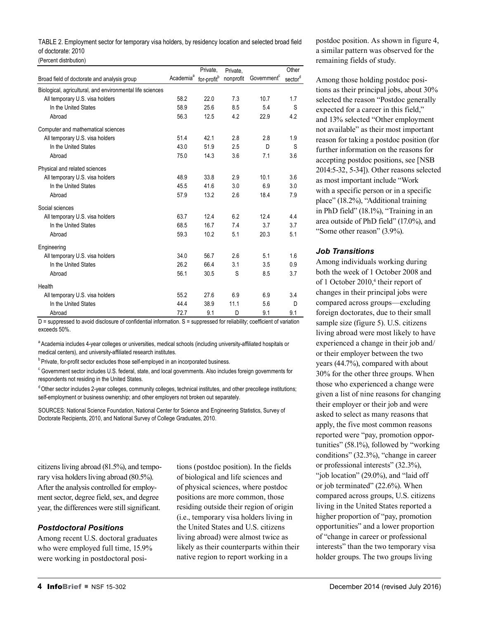TABLE 2. Employment sector for temporary visa holders, by residency location and selected broad field of doctorate: 2010

(Percent distribution)

|                                                           |                       | Private,                | Private,  |                         | Other   |
|-----------------------------------------------------------|-----------------------|-------------------------|-----------|-------------------------|---------|
| Broad field of doctorate and analysis group               | Academia <sup>a</sup> | for-profit <sup>b</sup> | nonprofit | Government <sup>c</sup> | sectord |
| Biological, agricultural, and environmental life sciences |                       |                         |           |                         |         |
| All temporary U.S. visa holders                           | 58.2                  | 22.0                    | 7.3       | 10.7                    | 1.7     |
| In the United States                                      | 58.9                  | 25.6                    | 8.5       | 5.4                     | S       |
| Abroad                                                    | 56.3                  | 12.5                    | 4.2       | 22.9                    | 4.2     |
| Computer and mathematical sciences                        |                       |                         |           |                         |         |
| All temporary U.S. visa holders                           | 51.4                  | 42.1                    | 2.8       | 2.8                     | 1.9     |
| In the United States                                      | 43.0                  | 51.9                    | 2.5       | D                       | S       |
| Abroad                                                    | 75.0                  | 14.3                    | 3.6       | 7.1                     | 3.6     |
| Physical and related sciences                             |                       |                         |           |                         |         |
| All temporary U.S. visa holders                           | 48.9                  | 33.8                    | 2.9       | 10.1                    | 3.6     |
| In the United States                                      | 45.5                  | 41.6                    | 3.0       | 6.9                     | 3.0     |
| Abroad                                                    | 57.9                  | 13.2                    | 2.6       | 18.4                    | 7.9     |
| Social sciences                                           |                       |                         |           |                         |         |
| All temporary U.S. visa holders                           | 63.7                  | 12.4                    | 6.2       | 12.4                    | 4.4     |
| In the United States                                      | 68.5                  | 16.7                    | 7.4       | 3.7                     | 3.7     |
| Abroad                                                    | 59.3                  | 10.2                    | 5.1       | 20.3                    | 5.1     |
| Engineering                                               |                       |                         |           |                         |         |
| All temporary U.S. visa holders                           | 34.0                  | 56.7                    | 2.6       | 5.1                     | 1.6     |
| In the United States                                      | 26.2                  | 66.4                    | 3.1       | 3.5                     | 0.9     |
| Abroad                                                    | 56.1                  | 30.5                    | S         | 8.5                     | 3.7     |
| Health                                                    |                       |                         |           |                         |         |
| All temporary U.S. visa holders                           | 55.2                  | 27.6                    | 6.9       | 6.9                     | 3.4     |
| In the United States                                      | 44.4                  | 38.9                    | 11.1      | 5.6                     | D       |
| Abroad                                                    | 72.7                  | 9.1                     | D         | 9.1                     | 9.1     |

D = suppressed to avoid disclosure of confidential information. S = suppressed for reliability; coefficient of variation exceeds 50%.

<sup>a</sup> Academia includes 4-year colleges or universities, medical schools (including university-affiliated hospitals or medical centers), and university-affiliated research institutes.

<sup>b</sup> Private, for-profit sector excludes those self-employed in an incorporated business.

 $\textdegree$  Government sector includes U.S. federal, state, and local governments. Also includes foreign governments for respondents not residing in the United States.

<sup>d</sup> Other sector includes 2-year colleges, community colleges, technical institutes, and other precollege institutions; self-employment or business ownership; and other employers not broken out separately.

SOURCES: National Science Foundation, National Center for Science and Engineering Statistics, Survey of Doctorate Recipients, 2010, and National Survey of College Graduates, 2010.

citizens living abroad (81.5%), and temporary visa holders living abroad (80.5%). After the analysis controlled for employment sector, degree field, sex, and degree year, the differences were still significant.

### *Postdoctoral Positions*

Among recent U.S. doctoral graduates who were employed full time, 15.9% were working in postdoctoral posi-

tions (postdoc position). In the fields of biological and life sciences and of physical sciences, where postdoc positions are more common, those residing outside their region of origin (i.e., temporary visa holders living in the United States and U.S. citizens living abroad) were almost twice as likely as their counterparts within their native region to report working in a

postdoc position. As shown in figure 4, a similar pattern was observed for the remaining fields of study.

Among those holding postdoc positions as their principal jobs, about 30% selected the reason "Postdoc generally expected for a career in this field," and 13% selected "Other employment not available" as their most important reason for taking a postdoc position (for further information on the reasons for accepting postdoc positions, see [NSB 2014:5-32, 5-34]). Other reasons selected as most important include "Work with a specific person or in a specific place" (18.2%), "Additional training in PhD field" (18.1%), "Training in an area outside of PhD field" (17.0%), and "Some other reason" (3.9%).

## *Job Transitions*

Among individuals working during both the week of 1 October 2008 and of 1 October 2010,<sup>4</sup> their report of changes in their principal jobs were compared across groups—excluding foreign doctorates, due to their small sample size (figure 5). U.S. citizens living abroad were most likely to have experienced a change in their job and/ or their employer between the two years (44.7%), compared with about 30% for the other three groups. When those who experienced a change were given a list of nine reasons for changing their employer or their job and were asked to select as many reasons that apply, the five most common reasons reported were "pay, promotion opportunities" (58.1%), followed by "working conditions" (32.3%), "change in career or professional interests" (32.3%), "job location" (29.0%), and "laid off" or job terminated" (22.6%). When compared across groups, U.S. citizens living in the United States reported a higher proportion of "pay, promotion opportunities" and a lower proportion of "change in career or professional interests" than the two temporary visa holder groups. The two groups living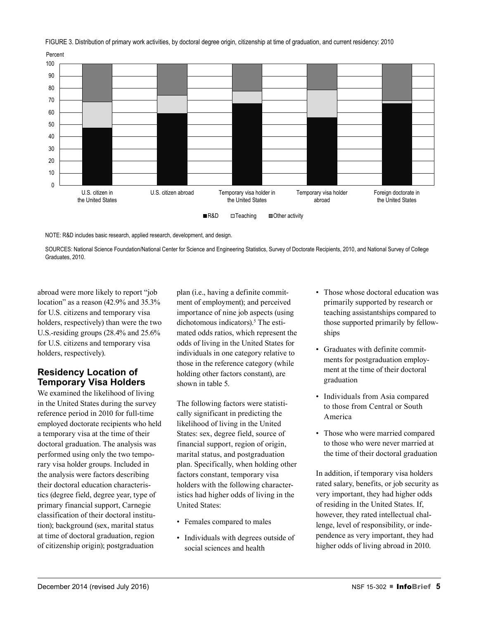FIGURE 3. Distribution of primary work activities, by doctoral degree origin, citizenship at time of graduation, and current residency: 2010





NOTE: R&D includes basic research, applied research, development, and design.

SOURCES: National Science Foundation/National Center for Science and Engineering Statistics, Survey of Doctorate Recipients, 2010, and National Survey of College Graduates, 2010.

abroad were more likely to report "job location" as a reason (42.9% and 35.3% for U.S. citizens and temporary visa holders, respectively) than were the two U.S.-residing groups (28.4% and 25.6% for U.S. citizens and temporary visa holders, respectively).

# **Residency Location of Temporary Visa Holders**

We examined the likelihood of living in the United States during the survey reference period in 2010 for full-time employed doctorate recipients who held a temporary visa at the time of their doctoral graduation. The analysis was performed using only the two temporary visa holder groups. Included in the analysis were factors describing their doctoral education characteristics (degree field, degree year, type of primary financial support, Carnegie classification of their doctoral institution); background (sex, marital status at time of doctoral graduation, region of citizenship origin); postgraduation

plan (i.e., having a definite commitment of employment); and perceived importance of nine job aspects (using dichotomous indicators).<sup>5</sup> The estimated odds ratios, which represent the odds of living in the United States for individuals in one category relative to those in the reference category (while holding other factors constant), are shown in table 5.

The following factors were statistically significant in predicting the likelihood of living in the United States: sex, degree field, source of financial support, region of origin, marital status, and postgraduation plan. Specifically, when holding other factors constant, temporary visa holders with the following characteristics had higher odds of living in the United States:

- Females compared to males
- Individuals with degrees outside of social sciences and health
- Those whose doctoral education was primarily supported by research or teaching assistantships compared to those supported primarily by fellowships
- Graduates with definite commitments for postgraduation employment at the time of their doctoral graduation
- Individuals from Asia compared to those from Central or South America
- Those who were married compared to those who were never married at the time of their doctoral graduation

In addition, if temporary visa holders rated salary, benefits, or job security as very important, they had higher odds of residing in the United States. If, however, they rated intellectual challenge, level of responsibility, or independence as very important, they had higher odds of living abroad in 2010.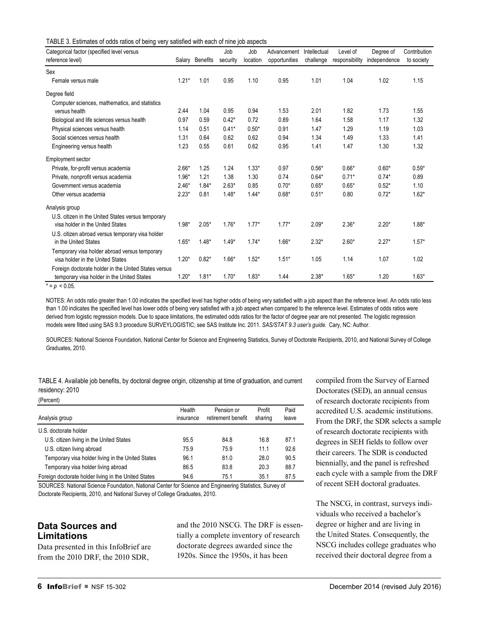| TABLE 3. Estimates of odds ratios of being very satisfied with each of nine job aspects |  |  |
|-----------------------------------------------------------------------------------------|--|--|
|                                                                                         |  |  |

| Categorical factor (specified level versus           |         |                 | Job      | Job      | Advancement   | Intellectual | Level of       | Degree of    | Contribution |
|------------------------------------------------------|---------|-----------------|----------|----------|---------------|--------------|----------------|--------------|--------------|
| reference level)                                     | Salary  | <b>Benefits</b> | security | location | opportunities | challenge    | responsibility | independence | to society   |
| Sex                                                  |         |                 |          |          |               |              |                |              |              |
| Female versus male                                   | $1.21*$ | 1.01            | 0.95     | 1.10     | 0.95          | 1.01         | 1.04           | 1.02         | 1.15         |
| Degree field                                         |         |                 |          |          |               |              |                |              |              |
| Computer sciences, mathematics, and statistics       |         |                 |          |          |               |              |                |              |              |
| versus health                                        | 2.44    | 1.04            | 0.95     | 0.94     | 1.53          | 2.01         | 1.82           | 1.73         | 1.55         |
| Biological and life sciences versus health           | 0.97    | 0.59            | $0.42*$  | 0.72     | 0.89          | 1.64         | 1.58           | 1.17         | 1.32         |
| Physical sciences versus health                      | 1.14    | 0.51            | $0.41*$  | $0.50*$  | 0.91          | 1.47         | 1.29           | 1.19         | 1.03         |
| Social sciences versus health                        | 1.31    | 0.64            | 0.62     | 0.62     | 0.94          | 1.34         | 1.49           | 1.33         | 1.41         |
| Engineering versus health                            | 1.23    | 0.55            | 0.61     | 0.62     | 0.95          | 1.41         | 1.47           | 1.30         | 1.32         |
| <b>Employment sector</b>                             |         |                 |          |          |               |              |                |              |              |
| Private, for-profit versus academia                  | $2.66*$ | 1.25            | 1.24     | $1.33*$  | 0.97          | $0.56*$      | $0.66*$        | $0.60*$      | $0.59*$      |
| Private, nonprofit versus academia                   | $1.96*$ | 1.21            | 1.38     | 1.30     | 0.74          | $0.64*$      | $0.71*$        | $0.74*$      | 0.89         |
| Government versus academia                           | $2.46*$ | $1.84*$         | $2.63*$  | 0.85     | $0.70*$       | $0.65*$      | $0.65*$        | $0.52*$      | 1.10         |
| Other versus academia                                | $2.23*$ | 0.81            | $1.48*$  | $1.44*$  | $0.68*$       | $0.51*$      | 0.80           | $0.72*$      | $1.62*$      |
| Analysis group                                       |         |                 |          |          |               |              |                |              |              |
| U.S. citizen in the United States versus temporary   |         |                 |          |          |               |              |                |              |              |
| visa holder in the United States                     | $1.98*$ | $2.05*$         | $1.76*$  | $1.77*$  | $1.77*$       | $2.09*$      | $2.36*$        | $2.20*$      | $1.88*$      |
| U.S. citizen abroad versus temporary visa holder     |         |                 |          |          |               |              |                |              |              |
| in the United States                                 | $1.65*$ | $1.48*$         | $1.49*$  | $1.74*$  | $1.66*$       | $2.32*$      | $2.60*$        | $2.27*$      | $1.57*$      |
| Temporary visa holder abroad versus temporary        |         |                 |          |          |               |              |                |              |              |
| visa holder in the United States                     | $1.20*$ | $0.82*$         | $1.66*$  | $1.52*$  | $1.51*$       | 1.05         | 1.14           | 1.07         | 1.02         |
| Foreign doctorate holder in the United States versus |         |                 |          |          |               |              |                |              |              |
| temporary visa holder in the United States           | $1.20*$ | $1.81*$         | $1.70*$  | $1.83*$  | 1.44          | $2.38*$      | $1.65*$        | 1.20         | $1.63*$      |

 $\overline{p} = p \leq 0.05$ .

 $(D_{\text{max}})$ 

NOTES: An odds ratio greater than 1.00 indicates the specified level has higher odds of being very satisfied with a job aspect than the reference level. An odds ratio less than 1.00 indicates the specified level has lower odds of being very satisfied with a job aspect when compared to the reference level. Estimates of odds ratios were derived from logistic regression models. Due to space limitations, the estimated odds ratios for the factor of degree year are not presented. The logistic regression models were fitted using SAS 9.3 procedure SURVEYLOGISTIC; see SAS Institute Inc. 2011. *SAS/STAT 9.3 user's guide.* Cary, NC: Author.

SOURCES: National Science Foundation, National Center for Science and Engineering Statistics, Survey of Doctorate Recipients, 2010, and National Survey of College Graduates, 2010.

|                 |  |  | TABLE 4. Available job benefits, by doctoral degree origin, citizenship at time of graduation, and current |  |
|-----------------|--|--|------------------------------------------------------------------------------------------------------------|--|
| residency: 2010 |  |  |                                                                                                            |  |

| (Percent)                                            |                     |                                  |                   |               |
|------------------------------------------------------|---------------------|----------------------------------|-------------------|---------------|
| Analysis group                                       | Health<br>insurance | Pension or<br>retirement benefit | Profit<br>sharing | Paid<br>leave |
| U.S. doctorate holder                                |                     |                                  |                   |               |
| U.S. citizen living in the United States             | 95.5                | 84.8                             | 16.8              | 87.1          |
| U.S. citizen living abroad                           | 75.9                | 75.9                             | 11.1              | 92.6          |
| Temporary visa holder living in the United States    | 96.1                | 81.0                             | 28.0              | 90.5          |
| Temporary visa holder living abroad                  | 86.5                | 83.8                             | 20.3              | 88.7          |
| Foreign doctorate holder living in the United States | 94.6                | 75.1                             | 35.1              | 87.5          |

SOURCES: National Science Foundation, National Center for Science and Engineering Statistics, Survey of Doctorate Recipients, 2010, and National Survey of College Graduates, 2010.

# **Data Sources and Limitations**

Data presented in this InfoBrief are from the 2010 DRF, the 2010 SDR,

and the 2010 NSCG. The DRF is essentially a complete inventory of research doctorate degrees awarded since the 1920s. Since the 1950s, it has been

compiled from the Survey of Earned Doctorates (SED), an annual census of research doctorate recipients from accredited U.S. academic institutions. From the DRF, the SDR selects a sample of research doctorate recipients with degrees in SEH fields to follow over their careers. The SDR is conducted biennially, and the panel is refreshed each cycle with a sample from the DRF of recent SEH doctoral graduates.

The NSCG, in contrast, surveys individuals who received a bachelor's degree or higher and are living in the United States. Consequently, the NSCG includes college graduates who received their doctoral degree from a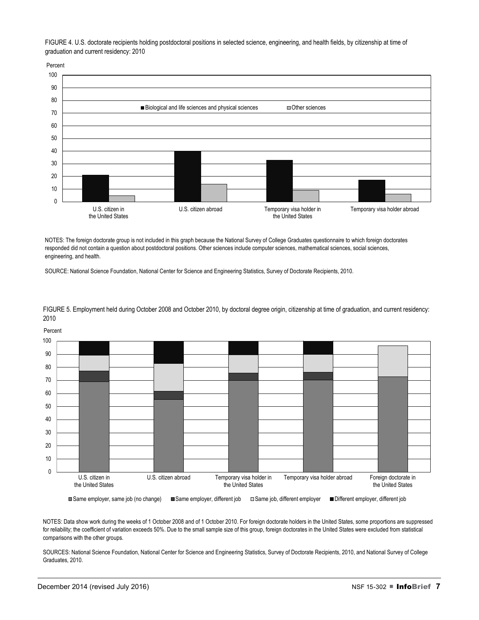FIGURE 4. U.S. doctorate recipients holding postdoctoral positions in selected science, engineering, and health fields, by citizenship at time of graduation and current residency: 2010

Percent



NOTES: The foreign doctorate group is not included in this graph because the National Survey of College Graduates questionnaire to which foreign doctorates responded did not contain a question about postdoctoral positions. Other sciences include computer sciences, mathematical sciences, social sciences, engineering, and health.

SOURCE: National Science Foundation, National Center for Science and Engineering Statistics, Survey of Doctorate Recipients, 2010.



FIGURE 5. Employment held during October 2008 and October 2010, by doctoral degree origin, citizenship at time of graduation, and current residency: 2010

NOTES: Data show work during the weeks of 1 October 2008 and of 1 October 2010. For foreign doctorate holders in the United States, some proportions are suppressed for reliability; the coefficient of variation exceeds 50%. Due to the small sample size of this group, foreign doctorates in the United States were excluded from statistical comparisons with the other groups.

SOURCES: National Science Foundation, National Center for Science and Engineering Statistics, Survey of Doctorate Recipients, 2010, and National Survey of College Graduates, 2010.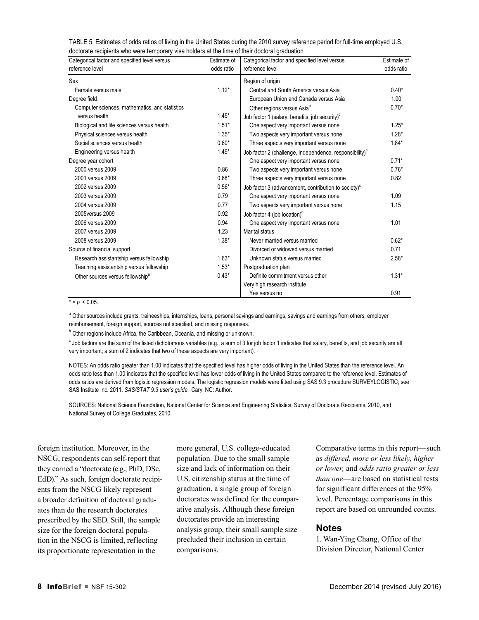| TABLE 5. Estimates of odds ratios of living in the United States during the 2010 survey reference period for full-time employed U.S. |
|--------------------------------------------------------------------------------------------------------------------------------------|
| doctorate recipients who were temporary visa holders at the time of their doctoral graduation                                        |

| Categorical factor and specified level versus<br>reference level | Estimate of<br>odds ratio | Categorical factor and specified level versus<br>reference level    | Estimate of<br>odds ratio |
|------------------------------------------------------------------|---------------------------|---------------------------------------------------------------------|---------------------------|
| Sex                                                              |                           | Region of origin                                                    |                           |
| Female versus male                                               | $1.12*$                   | Central and South America versus Asia                               | $0.40*$                   |
| Degree field                                                     |                           | European Union and Canada versus Asia                               | 1.00                      |
| Computer sciences, mathematics, and statistics                   |                           |                                                                     | $0.70*$                   |
| versus health                                                    | $1.45*$                   | Other regions versus Asia <sup>b</sup>                              |                           |
|                                                                  | $1.51*$                   | Job factor 1 (salary, benefits, job security) <sup>c</sup>          | $1.25*$                   |
| Biological and life sciences versus health                       |                           | One aspect very important versus none                               |                           |
| Physical sciences versus health                                  | $1.35*$                   | Two aspects very important versus none                              | $1.28*$                   |
| Social sciences versus health                                    | $0.60*$                   | Three aspects very important versus none                            | $1.84*$                   |
| Engineering versus health                                        | $1.49*$                   | Job factor 2 (challenge, independence, responsibility) <sup>c</sup> |                           |
| Degree year cohort                                               |                           | One aspect very important versus none                               | $0.71*$                   |
| 2000 versus 2009                                                 | 0.86                      | Two aspects very important versus none                              | $0.76*$                   |
| 2001 versus 2009                                                 | $0.68*$                   | Three aspects very important versus none                            | 0.82                      |
| 2002 versus 2009                                                 | $0.56*$                   | Job factor 3 (advancement, contribution to society) <sup>c</sup>    |                           |
| 2003 versus 2009                                                 | 0.79                      | One aspect very important versus none                               | 1.09                      |
| 2004 versus 2009                                                 | 0.77                      | Two aspects very important versus none                              | 1.15                      |
| 2005 versus 2009                                                 | 0.92                      | Job factor 4 (job location) $\textdegree$                           |                           |
| 2006 versus 2009                                                 | 0.94                      | One aspect very important versus none                               | 1.01                      |
| 2007 versus 2009                                                 | 1.23                      | Marital status                                                      |                           |
| 2008 versus 2009                                                 | $1.38*$                   | Never married versus married                                        | $0.62*$                   |
| Source of financial support                                      |                           | Divorced or widowed versus married                                  | 0.71                      |
| Research assistantship versus fellowship                         | $1.63*$                   | Unknown status versus married                                       | $2.58*$                   |
| Teaching assistantship versus fellowship                         | $1.53*$                   | Postgraduation plan                                                 |                           |
| Other sources versus fellowship <sup>a</sup>                     | $0.43*$                   | Definite commitment versus other                                    | $1.31*$                   |
|                                                                  |                           | Very high research institute                                        |                           |
|                                                                  |                           | Yes versus no                                                       | 0.91                      |

#### $* = p < 0.05$ .

<sup>a</sup> Other sources include grants, traineeships, internships, loans, personal savings and earnings, savings and earnings from others, employer reimbursement, foreign support, sources not specified, and missing responses.

<sup>b</sup> Other regions include Africa, the Caribbean, Oceania, and missing or unknown.

C Job factors are the sum of the listed dichotomous variables (e.g., a sum of 3 for job factor 1 indicates that salary, benefits, and job security are all very important; a sum of 2 indicates that two of these aspects are very important).

NOTES: An odds ratio greater than 1.00 indicates that the specified level has higher odds of living in the United States than the reference level. An odds ratio less than 1.00 indicates that the specified level has lower odds of living in the United States compared to the reference level. Estimates of odds ratios are derived from logistic regression models. The logistic regression models were fitted using SAS 9.3 procedure SURVEYLOGISTIC; see SAS Institute Inc. 2011. *SAS/STAT 9.3 user's guide.* Cary, NC: Author.

SOURCES: National Science Foundation, National Center for Science and Engineering Statistics, Survey of Doctorate Recipients, 2010, and National Survey of College Graduates, 2010.

foreign institution. Moreover, in the NSCG, respondents can self-report that they earned a "doctorate (e.g., PhD, DSc, EdD)." As such, foreign doctorate recipients from the NSCG likely represent a broader definition of doctoral graduates than do the research doctorates prescribed by the SED. Still, the sample size for the foreign doctoral population in the NSCG is limited, reflecting its proportionate representation in the

more general, U.S. college-educated population. Due to the small sample size and lack of information on their U.S. citizenship status at the time of graduation, a single group of foreign doctorates was defined for the comparative analysis. Although these foreign doctorates provide an interesting analysis group, their small sample size precluded their inclusion in certain comparisons.

Comparative terms in this report—such as *differed, more or less likely, higher or lower,* and *odds ratio greater or less than one*—are based on statistical tests for significant differences at the 95% level. Percentage comparisons in this report are based on unrounded counts.

### **Notes**

1. Wan-Ying Chang, Office of the Division Director, National Center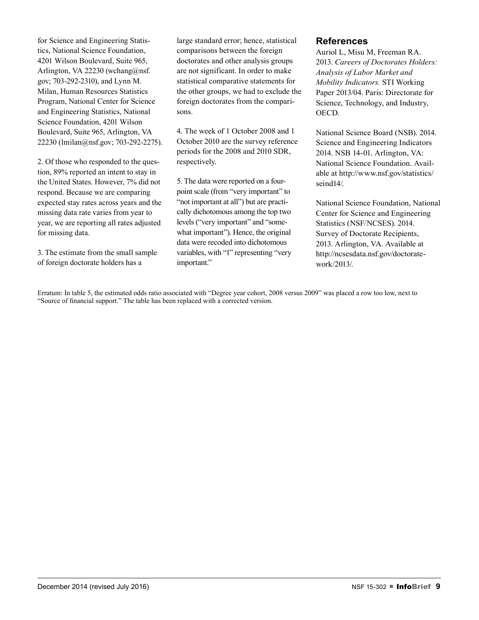for Science and Engineering Statistics, National Science Foundation, 4201 Wilson Boulevard, Suite 965, Arlington, VA 22230 (wchang@nsf. gov; 703-292-2310), and Lynn M. Milan, Human Resources Statistics Program, National Center for Science and Engineering Statistics, National Science Foundation, 4201 Wilson Boulevard, Suite 965, Arlington, VA 22230 (lmilan@nsf.gov; 703-292-2275).

2. Of those who responded to the question, 89% reported an intent to stay in the United States. However, 7% did not respond. Because we are comparing expected stay rates across years and the missing data rate varies from year to year, we are reporting all rates adjusted for missing data.

3. The estimate from the small sample of foreign doctorate holders has a

large standard error; hence, statistical comparisons between the foreign doctorates and other analysis groups are not significant. In order to make statistical comparative statements for the other groups, we had to exclude the foreign doctorates from the comparisons.

4. The week of 1 October 2008 and 1 October 2010 are the survey reference periods for the 2008 and 2010 SDR, respectively.

5. The data were reported on a fourpoint scale (from "very important" to "not important at all") but are practically dichotomous among the top two levels ("very important" and "somewhat important"). Hence, the original data were recoded into dichotomous variables, with "1" representing "very important."

## **References**

Auriol L, Misu M, Freeman RA. 2013. *Careers of Doctorates Holders: Analysis of Labor Market and Mobility Indicators.* STI Working Paper 2013/04. Paris: Directorate for Science, Technology, and Industry, OECD.

National Science Board (NSB). 2014. Science and Engineering Indicators 2014. NSB 14-01. Arlington, VA: National Science Foundation. Available at http://www.nsf.gov/statistics/ seind14/.

National Science Foundation, National Center for Science and Engineering Statistics (NSF/NCSES). 2014. Survey of Doctorate Recipients, 2013. Arlington, VA. Available at http://ncsesdata.nsf.gov/doctoratework/2013/.

Erratum: In table 5, the estimated odds ratio associated with "Degree year cohort, 2008 versus 2009" was placed a row too low, next to "Source of financial support." The table has been replaced with a corrected version.